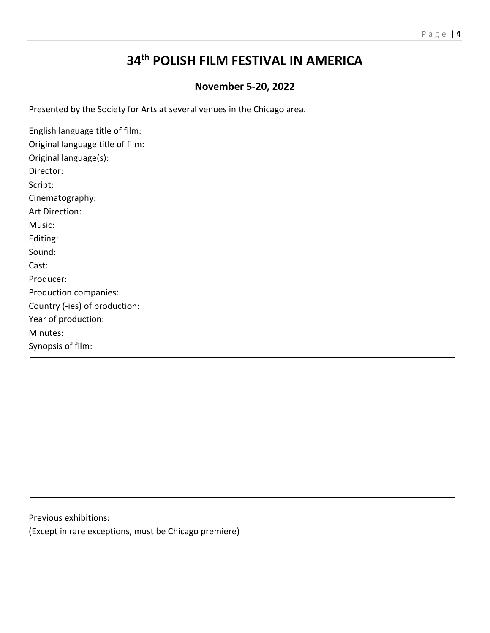## P a g e | **4**

## **34 th POLISH FILM FESTIVAL IN AMERICA**

## **November 5-20, 2022**

Presented by the Society for Arts at several venues in the Chicago area.

English language title of film: Original language title of film: Original language(s): Director: Script: Cinematography: Art Direction: Music: Editing: Sound: Cast: Producer: Production companies: Country (-ies) of production: Year of production: Minutes: Synopsis of film:

Previous exhibitions:

(Except in rare exceptions, must be Chicago premiere)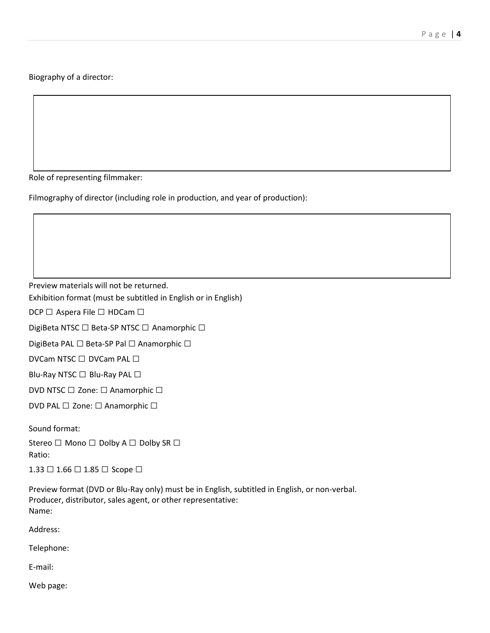Biography of a director:

Role of representing filmmaker:

Filmography of director (including role in production, and year of production):

Preview materials will not be returned.

Exhibition format (must be subtitled in English or in English)

DCP □ Aspera File □ HDCam □

DigiBeta NTSC □ Beta-SP NTSC □ Anamorphic □

DigiBeta PAL □ Beta-SP Pal □ Anamorphic □

DVCam NTSC □ DVCam PAL □

Blu-Ray NTSC □ Blu-Ray PAL □

DVD NTSC □ Zone: □ Anamorphic □

DVD PAL □ Zone: □ Anamorphic □

Sound format:

Stereo □ Mono □ Dolby A □ Dolby SR □ Ratio:

1.33 □ 1.66 □ 1.85 □ Scope □

Preview format (DVD or Blu-Ray only) must be in English, subtitled in English, or non-verbal. Producer, distributor, sales agent, or other representative: Name:

Address:

Telephone:

E-mail:

Web page: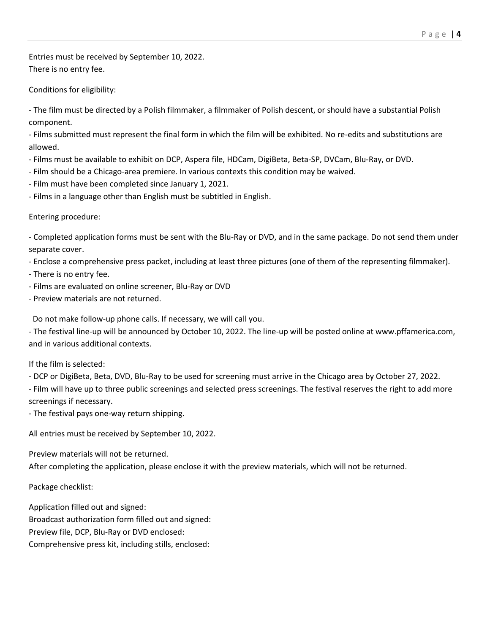Entries must be received by September 10, 2022. There is no entry fee.

Conditions for eligibility:

- The film must be directed by a Polish filmmaker, a filmmaker of Polish descent, or should have a substantial Polish component.

- Films submitted must represent the final form in which the film will be exhibited. No re-edits and substitutions are allowed.

- Films must be available to exhibit on DCP, Aspera file, HDCam, DigiBeta, Beta-SP, DVCam, Blu-Ray, or DVD.
- Film should be a Chicago-area premiere. In various contexts this condition may be waived.
- Film must have been completed since January 1, 2021.
- Films in a language other than English must be subtitled in English.

## Entering procedure:

- Completed application forms must be sent with the Blu-Ray or DVD, and in the same package. Do not send them under separate cover.

- Enclose a comprehensive press packet, including at least three pictures (one of them of the representing filmmaker).
- There is no entry fee.
- Films are evaluated on online screener, Blu-Ray or DVD
- Preview materials are not returned.

Do not make follow-up phone calls. If necessary, we will call you.

- The festival line-up will be announced by October 10, 2022. The line-up will be posted online at www.pffamerica.com, and in various additional contexts.

If the film is selected:

- DCP or DigiBeta, Beta, DVD, Blu-Ray to be used for screening must arrive in the Chicago area by October 27, 2022.

- Film will have up to three public screenings and selected press screenings. The festival reserves the right to add more screenings if necessary.

- The festival pays one-way return shipping.

All entries must be received by September 10, 2022.

Preview materials will not be returned.

After completing the application, please enclose it with the preview materials, which will not be returned.

Package checklist:

Application filled out and signed: Broadcast authorization form filled out and signed: Preview file, DCP, Blu-Ray or DVD enclosed: Comprehensive press kit, including stills, enclosed: